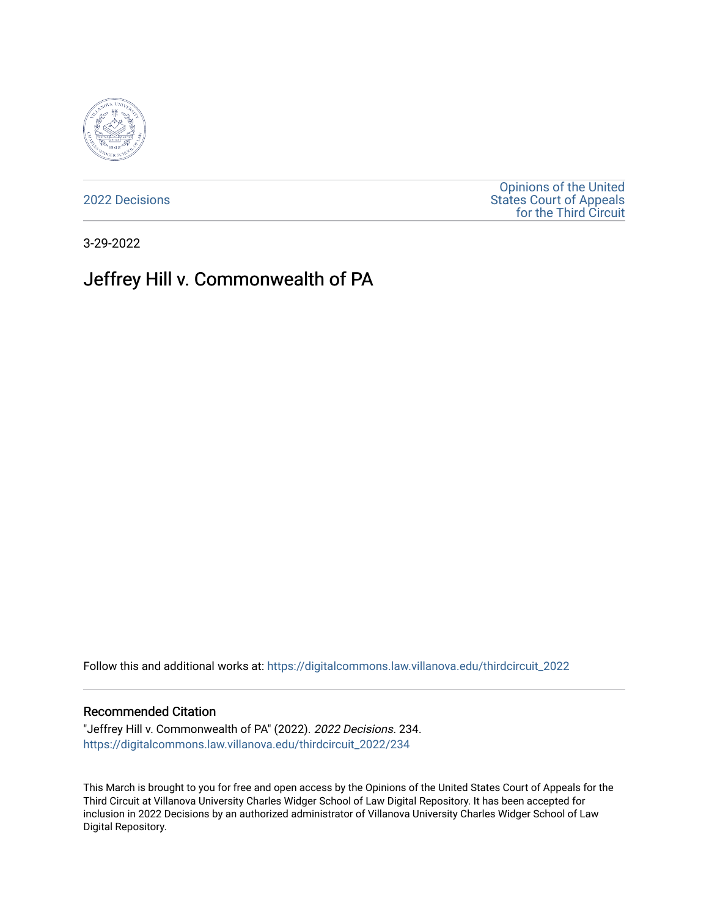

[2022 Decisions](https://digitalcommons.law.villanova.edu/thirdcircuit_2022)

[Opinions of the United](https://digitalcommons.law.villanova.edu/thirdcircuit)  [States Court of Appeals](https://digitalcommons.law.villanova.edu/thirdcircuit)  [for the Third Circuit](https://digitalcommons.law.villanova.edu/thirdcircuit) 

3-29-2022

# Jeffrey Hill v. Commonwealth of PA

Follow this and additional works at: [https://digitalcommons.law.villanova.edu/thirdcircuit\\_2022](https://digitalcommons.law.villanova.edu/thirdcircuit_2022?utm_source=digitalcommons.law.villanova.edu%2Fthirdcircuit_2022%2F234&utm_medium=PDF&utm_campaign=PDFCoverPages) 

#### Recommended Citation

"Jeffrey Hill v. Commonwealth of PA" (2022). 2022 Decisions. 234. [https://digitalcommons.law.villanova.edu/thirdcircuit\\_2022/234](https://digitalcommons.law.villanova.edu/thirdcircuit_2022/234?utm_source=digitalcommons.law.villanova.edu%2Fthirdcircuit_2022%2F234&utm_medium=PDF&utm_campaign=PDFCoverPages)

This March is brought to you for free and open access by the Opinions of the United States Court of Appeals for the Third Circuit at Villanova University Charles Widger School of Law Digital Repository. It has been accepted for inclusion in 2022 Decisions by an authorized administrator of Villanova University Charles Widger School of Law Digital Repository.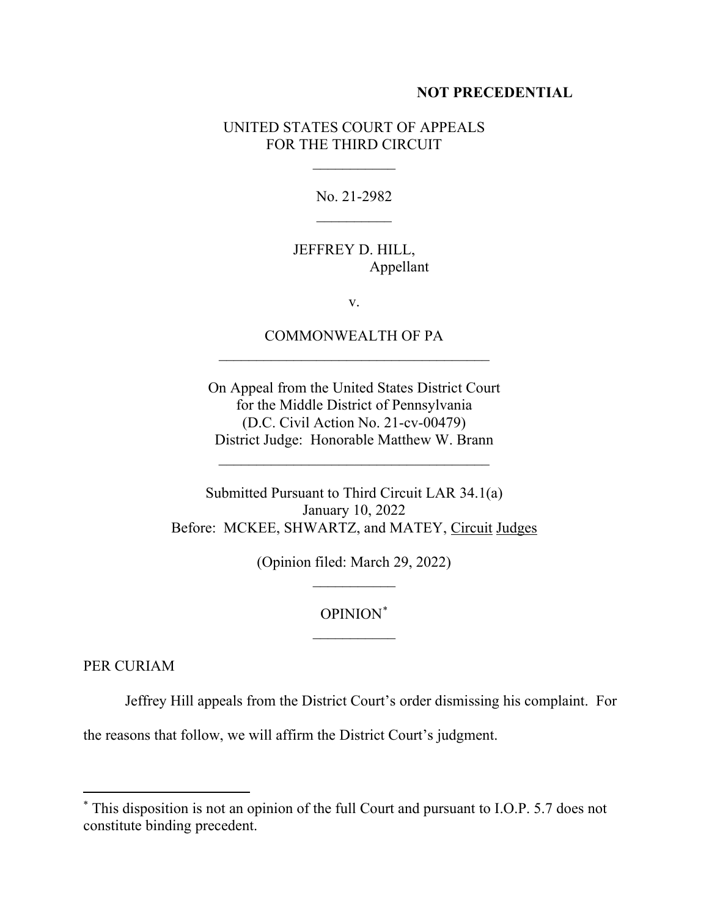#### **NOT PRECEDENTIAL**

### UNITED STATES COURT OF APPEALS FOR THE THIRD CIRCUIT

 $\frac{1}{2}$ 

No. 21-2982  $\frac{1}{2}$ 

## JEFFREY D. HILL, Appellant

v.

# COMMONWEALTH OF PA  $\mathcal{L}_\text{max}$  and  $\mathcal{L}_\text{max}$  and  $\mathcal{L}_\text{max}$  and  $\mathcal{L}_\text{max}$

On Appeal from the United States District Court for the Middle District of Pennsylvania (D.C. Civil Action No. 21-cv-00479) District Judge: Honorable Matthew W. Brann

 $\mathcal{L}_\text{max}$  and  $\mathcal{L}_\text{max}$  and  $\mathcal{L}_\text{max}$  and  $\mathcal{L}_\text{max}$ 

Submitted Pursuant to Third Circuit LAR 34.1(a) January 10, 2022 Before: MCKEE, SHWARTZ, and MATEY, Circuit Judges

> (Opinion filed: March 29, 2022)  $\frac{1}{2}$

# OPINION\*  $\frac{1}{2}$

PER CURIAM

Jeffrey Hill appeals from the District Court's order dismissing his complaint. For

the reasons that follow, we will affirm the District Court's judgment.

<sup>\*</sup> This disposition is not an opinion of the full Court and pursuant to I.O.P. 5.7 does not constitute binding precedent.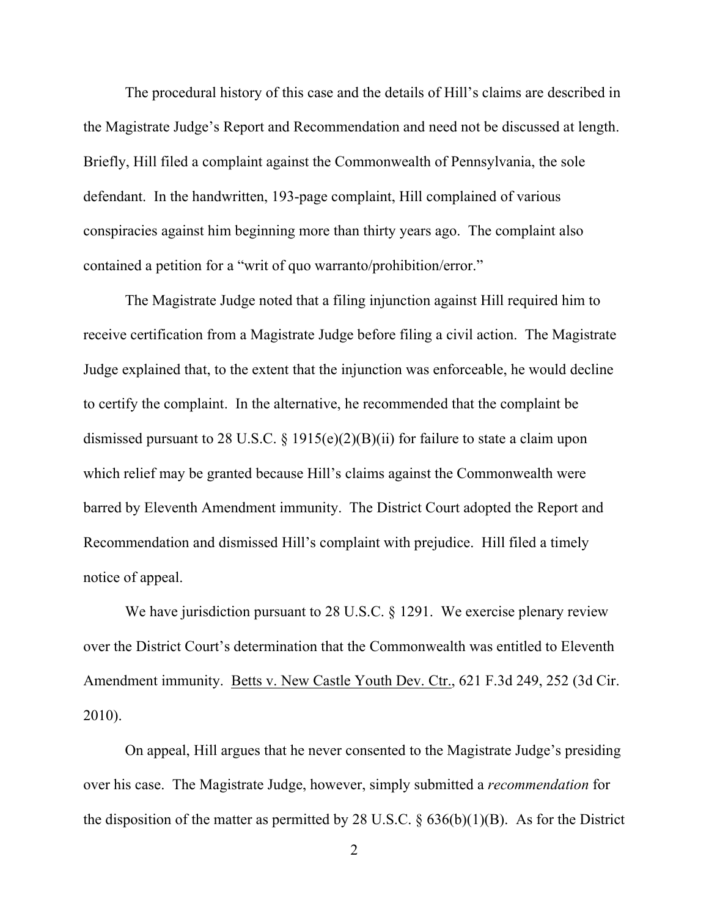The procedural history of this case and the details of Hill's claims are described in the Magistrate Judge's Report and Recommendation and need not be discussed at length. Briefly, Hill filed a complaint against the Commonwealth of Pennsylvania, the sole defendant. In the handwritten, 193-page complaint, Hill complained of various conspiracies against him beginning more than thirty years ago. The complaint also contained a petition for a "writ of quo warranto/prohibition/error."

The Magistrate Judge noted that a filing injunction against Hill required him to receive certification from a Magistrate Judge before filing a civil action. The Magistrate Judge explained that, to the extent that the injunction was enforceable, he would decline to certify the complaint. In the alternative, he recommended that the complaint be dismissed pursuant to 28 U.S.C. § 1915(e)(2)(B)(ii) for failure to state a claim upon which relief may be granted because Hill's claims against the Commonwealth were barred by Eleventh Amendment immunity. The District Court adopted the Report and Recommendation and dismissed Hill's complaint with prejudice. Hill filed a timely notice of appeal.

We have jurisdiction pursuant to 28 U.S.C. § 1291. We exercise plenary review over the District Court's determination that the Commonwealth was entitled to Eleventh Amendment immunity. Betts v. New Castle Youth Dev. Ctr., 621 F.3d 249, 252 (3d Cir. 2010).

On appeal, Hill argues that he never consented to the Magistrate Judge's presiding over his case. The Magistrate Judge, however, simply submitted a *recommendation* for the disposition of the matter as permitted by 28 U.S.C.  $\S$  636(b)(1)(B). As for the District

2